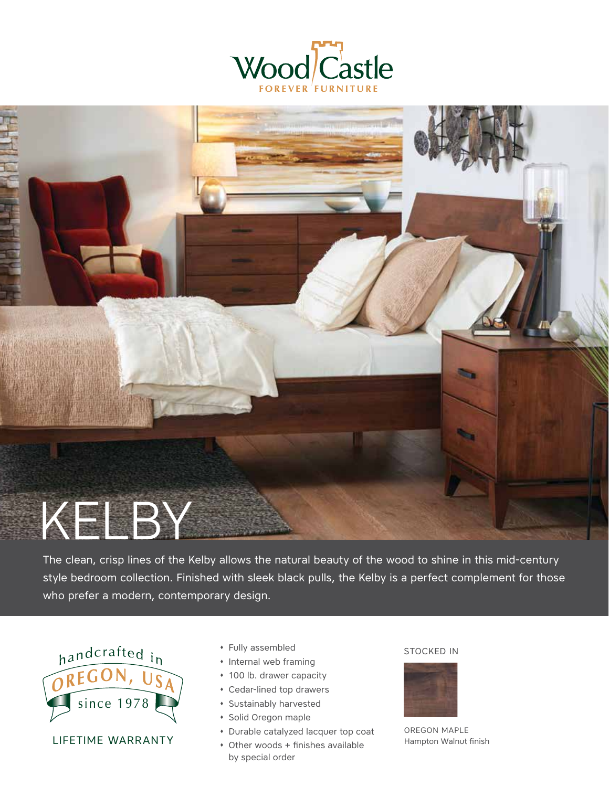



The clean, crisp lines of the Kelby allows the natural beauty of the wood to shine in this mid-century style bedroom collection. Finished with sleek black pulls, the Kelby is a perfect complement for those who prefer a modern, contemporary design.



LIFETIME WARRANTY

- \* Fully assembled STOCKED IN
- � Internal web framing
- � 100 lb. drawer capacity
- � Cedar-lined top drawers
- � Sustainably harvested
- � Solid Oregon maple
- � Durable catalyzed lacquer top coat
- � Other woods + finishes available by special order



OREGON MAPLE Hampton Walnut finish